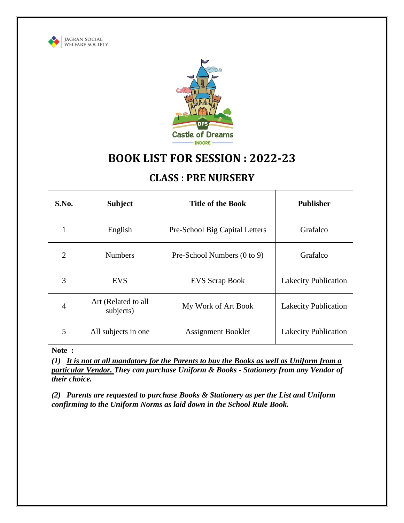



## **BOOK LIST FOR SESSION : 2022-23**

## **CLASS : PRE NURSERY**

| S.No. | <b>Subject</b>                   | Title of the Book              | <b>Publisher</b>            |
|-------|----------------------------------|--------------------------------|-----------------------------|
|       | English                          | Pre-School Big Capital Letters | Grafalco                    |
| 2     | <b>Numbers</b>                   | Pre-School Numbers (0 to 9)    | Grafalco                    |
| 3     | <b>EVS</b>                       | <b>EVS</b> Scrap Book          | <b>Lakecity Publication</b> |
| 4     | Art (Related to all<br>subjects) | My Work of Art Book            | <b>Lakecity Publication</b> |
| 5     | All subjects in one              | Assignment Booklet             | <b>Lakecity Publication</b> |

**Note :** 

*(1) It is not at all mandatory for the Parents to buy the Books as well as Uniform from a particular Vendor. They can purchase Uniform & Books - Stationery from any Vendor of their choice.*

*(2) Parents are requested to purchase Books & Stationery as per the List and Uniform confirming to the Uniform Norms as laid down in the School Rule Book.*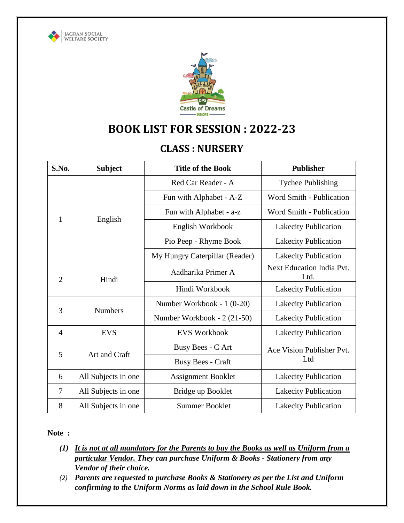



# **BOOK LIST FOR SESSION : 2022-23**

### **CLASS : NURSERY**

| S.No.          | <b>Subject</b>      | <b>Title of the Book</b>       | <b>Publisher</b>                  |
|----------------|---------------------|--------------------------------|-----------------------------------|
| 1              | English             | Red Car Reader - A             | <b>Tychee Publishing</b>          |
|                |                     | Fun with Alphabet - A-Z        | Word Smith - Publication          |
|                |                     | Fun with Alphabet - a-z        | Word Smith - Publication          |
|                |                     | English Workbook               | <b>Lakecity Publication</b>       |
|                |                     | Pio Peep - Rhyme Book          | <b>Lakecity Publication</b>       |
|                |                     | My Hungry Caterpillar (Reader) | <b>Lakecity Publication</b>       |
| $\overline{2}$ | Hindi               | Aadharika Primer A             | Next Education India Pvt.<br>Ltd. |
|                |                     | Hindi Workbook                 | Lakecity Publication              |
| 3              | <b>Numbers</b>      | Number Workbook - 1 (0-20)     | <b>Lakecity Publication</b>       |
|                |                     | Number Workbook - 2 (21-50)    | <b>Lakecity Publication</b>       |
| $\overline{4}$ | <b>EVS</b>          | <b>EVS Workbook</b>            | <b>Lakecity Publication</b>       |
| 5              | Art and Craft       | Busy Bees - C Art              | Ace Vision Publisher Pvt.<br>Ltd  |
|                |                     | <b>Busy Bees - Craft</b>       |                                   |
| 6              | All Subjects in one | <b>Assignment Booklet</b>      | <b>Lakecity Publication</b>       |
| $\overline{7}$ | All Subjects in one | Bridge up Booklet              | <b>Lakecity Publication</b>       |
| 8              | All Subjects in one | <b>Summer Booklet</b>          | <b>Lakecity Publication</b>       |

#### **Note :**

- *(1) It is not at all mandatory for the Parents to buy the Books as well as Uniform from a particular Vendor. They can purchase Uniform & Books - Stationery from any Vendor of their choice.*
- *(2) Parents are requested to purchase Books & Stationery as per the List and Uniform confirming to the Uniform Norms as laid down in the School Rule Book.*